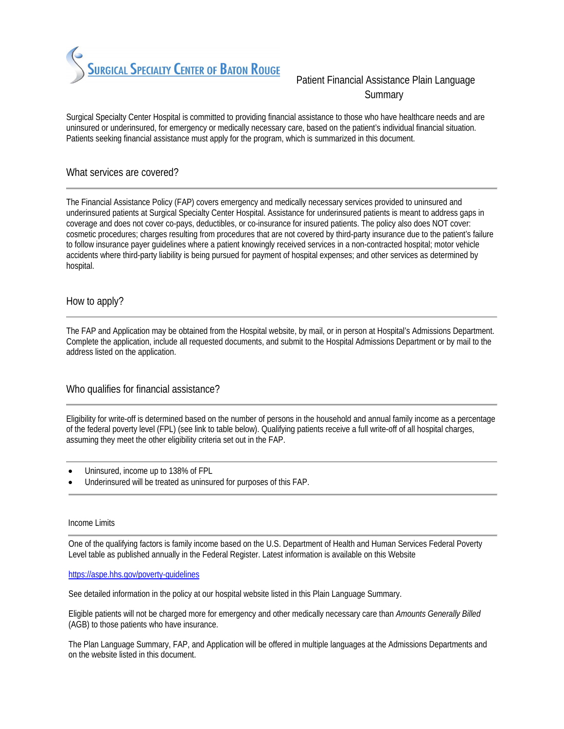

# Summary Summary Summary Summary Summary

Surgical Specialty Center Hospital is committed to providing financial assistance to those who have healthcare needs and are uninsured or underinsured, for emergency or medically necessary care, based on the patient's individual financial situation. Patients seeking financial assistance must apply for the program, which is summarized in this document.

## What services are covered?

The Financial Assistance Policy (FAP) covers emergency and medically necessary services provided to uninsured and underinsured patients at Surgical Specialty Center Hospital. Assistance for underinsured patients is meant to address gaps in coverage and does not cover co-pays, deductibles, or co-insurance for insured patients. The policy also does NOT cover: cosmetic procedures; charges resulting from procedures that are not covered by third-party insurance due to the patient's failure to follow insurance payer guidelines where a patient knowingly received services in a non-contracted hospital; motor vehicle accidents where third-party liability is being pursued for payment of hospital expenses; and other services as determined by hospital.

## How to apply?

The FAP and Application may be obtained from the Hospital website, by mail, or in person at Hospital's Admissions Department. Complete the application, include all requested documents, and submit to the Hospital Admissions Department or by mail to the address listed on the application.

# Who qualifies for financial assistance?

Eligibility for write-off is determined based on the number of persons in the household and annual family income as a percentage of the federal poverty level (FPL) (see link to table below). Qualifying patients receive a full write-off of all hospital charges, assuming they meet the other eligibility criteria set out in the FAP.

- Uninsured, income up to 138% of FPL
- Underinsured will be treated as uninsured for purposes of this FAP.

#### Income Limits

One of the qualifying factors is family income based on the U.S. Department of Health and Human Services Federal Poverty Level table as published annually in the Federal Register. Latest information is available on this Website

## https://aspe.hhs.gov/poverty-guidelines

See detailed information in the policy at our hospital website listed in this Plain Language Summary.

Eligible patients will not be charged more for emergency and other medically necessary care than *Amounts Generally Billed* (AGB) to those patients who have insurance.

The Plan Language Summary, FAP, and Application will be offered in multiple languages at the Admissions Departments and on the website listed in this document.